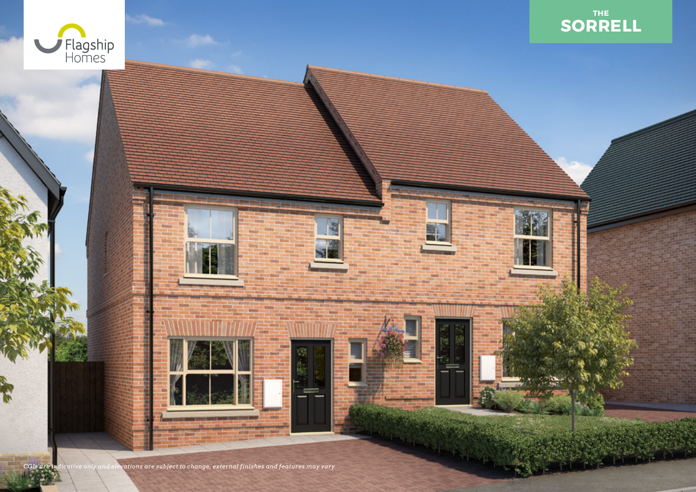



*CGIs are indicative only and elevations are subject to change, external finishes and features may vary.*